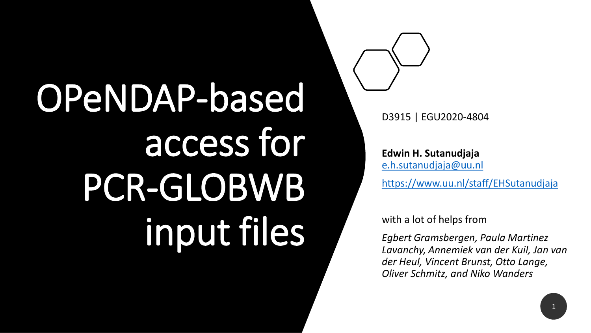# OPeNDAP-based access for PCR-GLOBWB input files

D3915 | EGU2020-4804

**Edwin H. Sutanudjaja**  [e.h.sutanudjaja@uu.nl](mailto:e.h.sutanudjaja@uu.nl)

<https://www.uu.nl/staff/EHSutanudjaja>

with a lot of helps from

*Egbert Gramsbergen, Paula Martinez Lavanchy, Annemiek van der Kuil, Jan van der Heul, Vincent Brunst, Otto Lange, Oliver Schmitz, and Niko Wanders*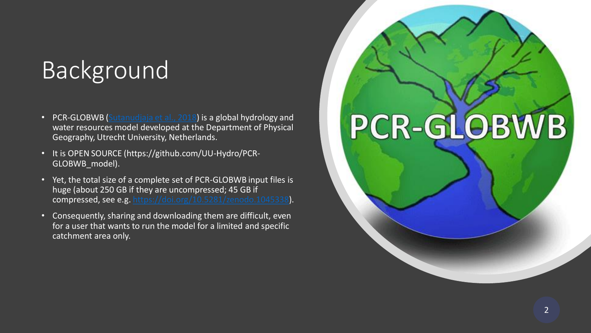#### **Background**

- PCR-GLOBWB [\(Sutanudjaja et al., 2018\)](https://doi.org/10.5194/gmd-11-2429-2018) is a global hydrology and water resources model developed at the Department of Physical Geography, Utrecht University, Netherlands.
- It is OPEN SOURCE (https://github.com/UU-Hydro/PCR-GLOBWB\_model).
- Yet, the total size of a complete set of PCR-GLOBWB input files is huge (about 250 GB if they are uncompressed; 45 GB if compressed, see e.g. [https://doi.org/10.5281/zenodo.1045338\)](https://doi.org/10.5281/zenodo.1045338).
- Consequently, sharing and downloading them are difficult, even for a user that wants to run the model for a limited and specific catchment area only.

## PCR-GLOBWB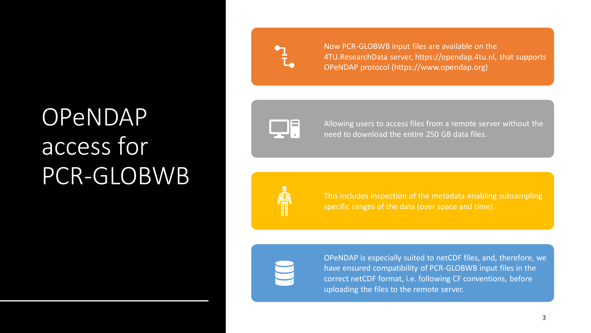### OPENDAP access for PCR-GLOBWB



Now PCR-GLOBWB input files are available on the 4TU.ResearchData server, https://opendap.4tu.nl, that supports OPeNDAP protocol (https://www.opendap.org)



Allowing users to access files from a remote server without the need to download the entire 250 GB data files.



This includes inspection of the metadata enabling subsampling specific ranges of the data (over space and time).



OPeNDAP is especially suited to netCDF files, and, therefore, we have ensured compatibility of PCR-GLOBWB input files in the correct netCDF format, i.e. following CF conventions, before uploading the files to the remote server.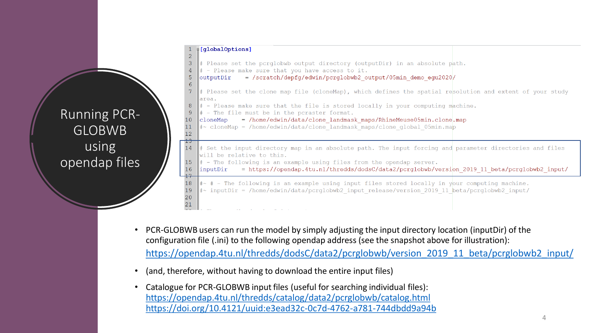#### p[qlobalOptions]  $\overline{2}$

 $\overline{4}$ 

5

 $6\overline{6}$ 

16

 $21$ 

Running PCR-

GLOBWB

using

opendap files

- $\overline{3}$ # Please set the pcrglobwb output directory (outputDir) in an absolute path.
	- $|$ # Please make sure that you have access to it.

= /scratch/depfg/edwin/pcrglobwb2 output/05min demo equ2020/ |outputDir

- # Please set the clone map file (cloneMap), which defines the spatial resolution and extent of your study area.
- $\#$  Please make sure that the file is stored locally in your computing machine.  $8<sup>°</sup>$ 
	- $\|$  = The file must be in the pcraster format.
- = /home/edwin/data/clone landmask maps/RhineMeuse05min.clone.map  $10$ | cloneMap  $11$
- $\|\text{*} \sim$  cloneMap = /home/edwin/data/clone landmask maps/clone global 05min.map  $12<sup>°</sup>$
- 14 # Set the input directory map in an absolute path. The input forcing and parameter directories and files will be relative to this. 15
	- $\|$ # The following is an example using files from the opendap server.
	- = https://opendap.4tu.nl/thredds/dodsC/data2/pcrglobwb/version 2019 11 beta/pcrglobwb2 input/ linputDir

18  $\texttt{\#} \texttt{\texttt{+}}$  - The following is an example using input files stored locally in your computing machine. 19  $\text{#} \sim$  inputDir = /home/edwin/data/pcrglobwb2 input release/version 2019 11 beta/pcrglobwb2 input/ 20

- PCR-GLOBWB users can run the model by simply adjusting the input directory location (inputDir) of the configuration file (.ini) to the following opendap address (see the snapshot above for illustration): [https://opendap.4tu.nl/thredds/dodsC/data2/pcrglobwb/version\\_2019\\_11\\_beta/pcrglobwb2\\_input/](https://opendap.4tu.nl/thredds/dodsC/data2/pcrglobwb/version_2019_11_beta/pcrglobwb2_input/)
- (and, therefore, without having to download the entire input files)
- Catalogue for PCR-GLOBWB input files (useful for searching individual files): <https://opendap.4tu.nl/thredds/catalog/data2/pcrglobwb/catalog.html> <https://doi.org/10.4121/uuid:e3ead32c-0c7d-4762-a781-744dbdd9a94b>

 $\Delta$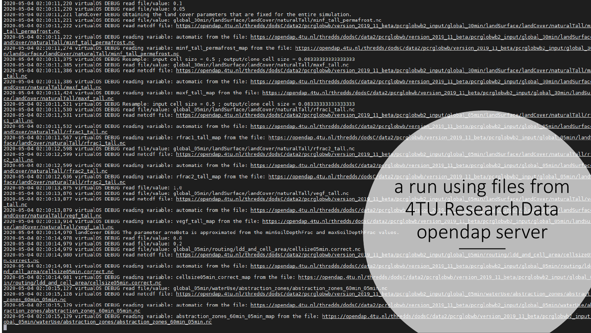2020-05-04 02:10:11,220 virtualOS DEBUG read file/value: 0.1 2020-05-04 02:10:11,220 virtualOS DEBUG read file/value: 0.05 2020-05-04 02:10:11,221 landCover DEBUG Obtaining the land cover parameters that are fixed for the entire simulation. 2020-05-04 02:10:11,221 virtualOS DEBUG read file/value: global 30min/landSurface/landCover/naturalTall/minf tall permafrost.nc 2020-05-04 02:10:11,222 virtual0S DEBUG read netcdf file: https://opendap.4tu.nl/thredds/dodsC/data2/pcrglobwb/version 2019 11 beta/pcrglobwb2 input/global 30min/landSurface/landCover/naturalTall/m tall permafrost.nc 2020-05-04 02:10:11,222 virtualOS DEBUG reading variable: automatic from the file: https://opendap.4tu.nl/thredds/dodsC/data2/pcrglobwb/version\_2019\_11\_beta/pcrglobwb2\_input/global\_30min/landSurfac andCover/naturalTall/minf tall permafrost.nc 2020-05-04 02:10:11,274 virtualos DEBUG reading variable: minf tall permafrost map from the file: https://opendap.4tu.nl/thredds/dodsC/data2/pcrglobwb/version 2019 11 beta/pcrglobwb2 input/global 3 n/landSurface/landCover/naturalTall/minf\_tall\_permafrost.nc 2020-05-04 02:10:11,385 virtualOS DEBUG read file/value: global 30min/landSurface/landCover/naturalTall/maxf\_tall.nc 2020-05-04 02:10:11,386 virtual0S DEBUG read netcdf file: https://opendap.4tu.nl/thredds/dodsC/data2/pcrqlobwb/version 2019 11 beta/pcrqlobwb2 input/qlobal 30min/landSurface/landCover/naturalTall/m tall.nc 2020-05-04 02:10:11,386 virtualOS DEBUG reading variable: automatic from the file: <u>https://opendap.4tu.nl/thredds/dodsC/data2/pcrqlobwb/version 2019 11 beta/pcrqlobwb2 input/qlobal 30min/landSurfac</u> andCover/naturalTall/maxf tall.nc 2020-05-04 02:10:11,424 virtual0S DEBUG reading variable: maxf tall map from the file: https://opendap.4tu.nl/thredds/dodsC/data2/pcrglobwb/version 2019 11 beta/pcrglobwb2 input/global 30min/landSu ce/landCover/naturalTall/maxf\_tall.nc 2020-05-04 02:10:11,530 virtualOS DEBUG read file/value: global 05min/landSurface/landCover/naturalTall/rfrac1 tall.nc 2020-05-04 02:10:11,531 virtualOS DEBUG read netcdf file: https://opendap.4tu.nl/thredds/dodsC/data2/pcrglobwb7version\_2019\_11\_beta/pcrglobwb2\_input/global\_05min/landSurface/landCover/naturalTall/r cl tall.nc 2020-05-04 02:10:11,532 virtualOS DEBUG reading variable: automatic from the file: https://opendap.4tu.nl/thredds/dodsC/data2/pcrqlobwb/version 2019 11 **05min/landSurfac** andCover/naturalTall/rfrac1 tall.nc bal 05min/land 2020-05-04 02:10:11,567 virtualOS DEBUG reading variable: rfrac1 tall map from the file: https://opendap.4tu.nl/thredds/dodsC/data2/pcrolobwb/version 2019 face/landCover/naturalTall/rfrac1\_tall.nc 2020-05-04 02:10:12,598 virtualOS DEBUG read file/value: global\_05min/landSurface/landCover/naturalTall/rfrac2\_tall.nc 2020-05-04 02:10:12,599 virtual0S DEBUG read netcdf file: https://opendap.4tu.nl/thredds/dodsC/data2/pcrglobwb/version 2019 11 beta/pcrglobwb2 input/global 05min/landSurface/landCover/naturalTall/r c2 tall.nc 2020-05-04 02:10:12,599 virtualOS DEBUG reading variable: automatic from the file: https://opendap.4tu.nl/thredds/dodsC/data2/pr andCover/naturalTall/rfrac2 tall.nc 2020-05-04 02:10:12,636 virtualOS DEBUG reading variable: rfrac2\_tall\_map from the file: https://opendap.4tu.nl/thredds/dodsC a run using files from face/landCover/naturalTall/rfrac2\_tall.nc 2020-05-04 02:10:13,875 virtualOS DEBUG read file/value: 1.0 2020-05-04 02:10:13,876 virtualOS DEBUG read file/value: global\_05min/landSurface/landCover/naturalTall/vegf\_tall.nc 2020-05-04 02:10:13,877 virtual0S DEBUG read netcdf file: https://opendap.4tu.nl/thredds/dodsC/data2/pcrglobwb/version 2019 4TU.ResearchData tall.nc 2020-05-04 02:10:13,879 virtualOS DEBUG reading variable: automatic from the file: https://opendap.4tu.nl/thredds/dodsC/da andCover/naturalTall/vegf tall.nc 2020-05-04 02:10:13,914 virtual0S DEBUG reading variable: vegf tall map from the file: https://opendap.4tu.nl/thredds/dod ce/landCover/naturalTall/vegf tall.nc opendap server2020-05-04 02:10:14,970 landCover DEBUG The parameter arnoBeta is approximated from the minSoilDepthFrac and maxSoilDepth 2020-05-04 02:10:14,978 virtualOS DEBUG read file/value: 0.0 2020-05-04 02:10:14,979 virtualOS DEBUG read file/value: 0.2 2020-05-04 02:10:14,979 virtualOS DEBUG read file/value: global\_05min/routing/ldd\_and\_cell\_area/cellsize05min.correct.nc 2020-05-04 02:10:14,980 virtual0S DEBUG read netcdf file: https://opendap.4tu.nl/thredds/dodsC/data2/pcrqlobwb/version 2019 n.correct.nc 2020-05-04 02:10:14,981 virtualOS DEBUG reading variable: automatic from the file: https://opendap.4tu.nl/thredds/dodsC/data2/pcrgld nd cell area/cellsize05min.correct.nc 2020-05-04 02:10:14,981 virtualOS DEBUG reading variable: cellsize05min correct map from the file: https://opendap.4tu.nl/thredds/ in/routing/ldd\_and\_cell\_area/cellsize05min.correct.nc 2020-05-04 02:10:15,127 virtualOS DEBUG read file/value: global\_05min/waterUse/abstraction\_zones/abstraction\_zones\_60min\_05min 2020-05-04 02:10:15,128 virtualOS DEBUG read netcdf file: https://opendap.4tu.nl/thredds/dodsC/data2/pcrglobwb/version 2019 11 zones 60min 05min.nc 2020-05-04 02:10:15,129 virtualOS DEBUG reading variable: automatic from the file: https://opendap.4tu.nl/thredds/dodsC/data2/pcrolobwb/version 2 raction zones/abstraction zones 60min 05min.nc 2020-05-04 02:10:15,129 virtualos DEBUG reading variable: abstraction zones 60min 05min map from the file: https://opendap.4tu.nl/thredds/c  $\mathbb Z$  input obal 05min/waterUse/abstraction zones/abstraction zones 60min 05min.nc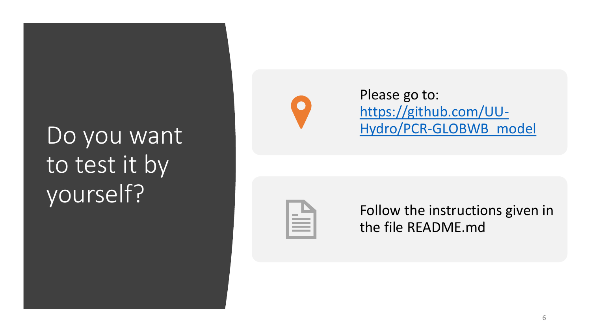#### Do you want! to test it by yourself?



Please go to: https://github.com/UU-[Hydro/PCR-GLOBWB\\_model](https://github.com/UU-Hydro/PCR-GLOBWB_model)



Follow the instructions given in the file README.md